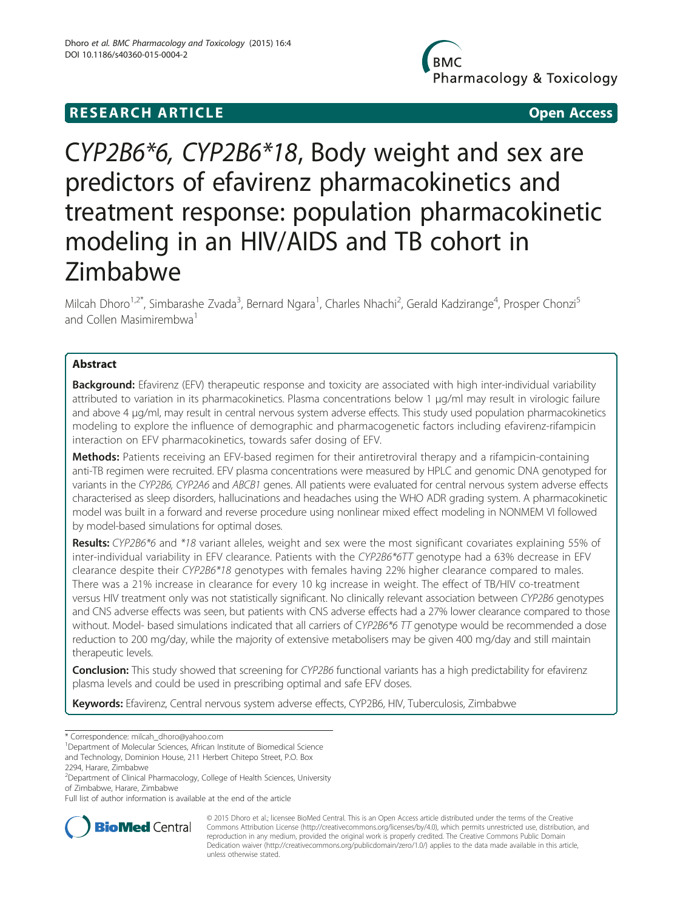# **RESEARCH ARTICLE Example 2008 Open Access**

Pharmacology & Toxicology

# CYP2B6\*6, CYP2B6\*18, Body weight and sex are predictors of efavirenz pharmacokinetics and treatment response: population pharmacokinetic modeling in an HIV/AIDS and TB cohort in Zimbabwe

Milcah Dhoro<sup>1,2\*</sup>, Simbarashe Zvada<sup>3</sup>, Bernard Ngara<sup>1</sup>, Charles Nhachi<sup>2</sup>, Gerald Kadzirange<sup>4</sup>, Prosper Chonzi<sup>5</sup> and Collen Masimirembwa

# Abstract

Background: Efavirenz (EFV) therapeutic response and toxicity are associated with high inter-individual variability attributed to variation in its pharmacokinetics. Plasma concentrations below 1 μg/ml may result in virologic failure and above 4 μg/ml, may result in central nervous system adverse effects. This study used population pharmacokinetics modeling to explore the influence of demographic and pharmacogenetic factors including efavirenz-rifampicin interaction on EFV pharmacokinetics, towards safer dosing of EFV.

Methods: Patients receiving an EFV-based regimen for their antiretroviral therapy and a rifampicin-containing anti-TB regimen were recruited. EFV plasma concentrations were measured by HPLC and genomic DNA genotyped for variants in the CYP2B6, CYP2A6 and ABCB1 genes. All patients were evaluated for central nervous system adverse effects characterised as sleep disorders, hallucinations and headaches using the WHO ADR grading system. A pharmacokinetic model was built in a forward and reverse procedure using nonlinear mixed effect modeling in NONMEM VI followed by model-based simulations for optimal doses.

Results: CYP2B6\*6 and \*18 variant alleles, weight and sex were the most significant covariates explaining 55% of inter-individual variability in EFV clearance. Patients with the CYP2B6\*6TT genotype had a 63% decrease in EFV clearance despite their CYP2B6\*18 genotypes with females having 22% higher clearance compared to males. There was a 21% increase in clearance for every 10 kg increase in weight. The effect of TB/HIV co-treatment versus HIV treatment only was not statistically significant. No clinically relevant association between CYP2B6 genotypes and CNS adverse effects was seen, but patients with CNS adverse effects had a 27% lower clearance compared to those without. Model- based simulations indicated that all carriers of CYP2B6\*6 TT genotype would be recommended a dose reduction to 200 mg/day, while the majority of extensive metabolisers may be given 400 mg/day and still maintain therapeutic levels.

Conclusion: This study showed that screening for CYP2B6 functional variants has a high predictability for efavirenz plasma levels and could be used in prescribing optimal and safe EFV doses.

Keywords: Efavirenz, Central nervous system adverse effects, CYP2B6, HIV, Tuberculosis, Zimbabwe

<sup>1</sup>Department of Molecular Sciences, African Institute of Biomedical Science

Full list of author information is available at the end of the article



© 2015 Dhoro et al.; licensee BioMed Central. This is an Open Access article distributed under the terms of the Creative Commons Attribution License [\(http://creativecommons.org/licenses/by/4.0\)](http://creativecommons.org/licenses/by/4.0), which permits unrestricted use, distribution, and reproduction in any medium, provided the original work is properly credited. The Creative Commons Public Domain Dedication waiver [\(http://creativecommons.org/publicdomain/zero/1.0/](http://creativecommons.org/publicdomain/zero/1.0/)) applies to the data made available in this article, unless otherwise stated.

<sup>\*</sup> Correspondence: [milcah\\_dhoro@yahoo.com](mailto:milcah_dhoro@yahoo.com) <sup>1</sup>

and Technology, Dominion House, 211 Herbert Chitepo Street, P.O. Box 2294, Harare, Zimbabwe

<sup>&</sup>lt;sup>2</sup>Department of Clinical Pharmacology, College of Health Sciences, University of Zimbabwe, Harare, Zimbabwe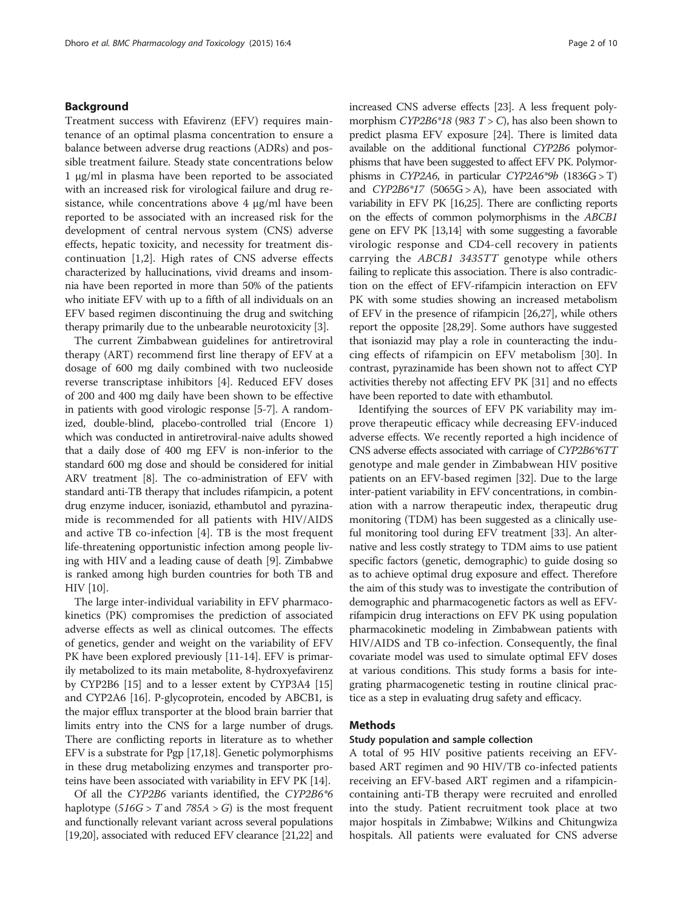#### Background

Treatment success with Efavirenz (EFV) requires maintenance of an optimal plasma concentration to ensure a balance between adverse drug reactions (ADRs) and possible treatment failure. Steady state concentrations below 1 μg/ml in plasma have been reported to be associated with an increased risk for virological failure and drug resistance, while concentrations above  $4 \mu g/ml$  have been reported to be associated with an increased risk for the development of central nervous system (CNS) adverse effects, hepatic toxicity, and necessity for treatment discontinuation [[1,2](#page-7-0)]. High rates of CNS adverse effects characterized by hallucinations, vivid dreams and insomnia have been reported in more than 50% of the patients who initiate EFV with up to a fifth of all individuals on an EFV based regimen discontinuing the drug and switching therapy primarily due to the unbearable neurotoxicity [[3\]](#page-7-0).

The current Zimbabwean guidelines for antiretroviral therapy (ART) recommend first line therapy of EFV at a dosage of 600 mg daily combined with two nucleoside reverse transcriptase inhibitors [[4\]](#page-7-0). Reduced EFV doses of 200 and 400 mg daily have been shown to be effective in patients with good virologic response [\[5-7](#page-7-0)]. A randomized, double-blind, placebo-controlled trial (Encore 1) which was conducted in antiretroviral-naive adults showed that a daily dose of 400 mg EFV is non-inferior to the standard 600 mg dose and should be considered for initial ARV treatment [[8](#page-7-0)]. The co-administration of EFV with standard anti-TB therapy that includes rifampicin, a potent drug enzyme inducer, isoniazid, ethambutol and pyrazinamide is recommended for all patients with HIV/AIDS and active TB co-infection [[4](#page-7-0)]. TB is the most frequent life-threatening opportunistic infection among people living with HIV and a leading cause of death [\[9](#page-8-0)]. Zimbabwe is ranked among high burden countries for both TB and HIV [[10](#page-8-0)].

The large inter-individual variability in EFV pharmacokinetics (PK) compromises the prediction of associated adverse effects as well as clinical outcomes. The effects of genetics, gender and weight on the variability of EFV PK have been explored previously [\[11-14](#page-8-0)]. EFV is primarily metabolized to its main metabolite, 8-hydroxyefavirenz by CYP2B6 [\[15\]](#page-8-0) and to a lesser extent by CYP3A4 [[15](#page-8-0)] and CYP2A6 [\[16\]](#page-8-0). P-glycoprotein, encoded by ABCB1, is the major efflux transporter at the blood brain barrier that limits entry into the CNS for a large number of drugs. There are conflicting reports in literature as to whether EFV is a substrate for Pgp [[17,18](#page-8-0)]. Genetic polymorphisms in these drug metabolizing enzymes and transporter proteins have been associated with variability in EFV PK [\[14](#page-8-0)].

Of all the CYP2B6 variants identified, the CYP2B6\*6 haplotype ( $516G > T$  and  $785A > G$ ) is the most frequent and functionally relevant variant across several populations [[19,20\]](#page-8-0), associated with reduced EFV clearance [[21,22\]](#page-8-0) and increased CNS adverse effects [\[23](#page-8-0)]. A less frequent polymorphism  $CYP2B6*18$  (983  $T > C$ ), has also been shown to predict plasma EFV exposure [\[24\]](#page-8-0). There is limited data available on the additional functional CYP2B6 polymorphisms that have been suggested to affect EFV PK. Polymorphisms in CYP2A6, in particular CYP2A6\*9b  $(1836G > T)$ and  $CYP2B6*17$  (5065G > A), have been associated with variability in EFV PK [[16,25](#page-8-0)]. There are conflicting reports on the effects of common polymorphisms in the ABCB1 gene on EFV PK [\[13,14\]](#page-8-0) with some suggesting a favorable virologic response and CD4-cell recovery in patients carrying the ABCB1 3435TT genotype while others failing to replicate this association. There is also contradiction on the effect of EFV-rifampicin interaction on EFV PK with some studies showing an increased metabolism of EFV in the presence of rifampicin [\[26,27\]](#page-8-0), while others report the opposite [\[28,29\]](#page-8-0). Some authors have suggested that isoniazid may play a role in counteracting the inducing effects of rifampicin on EFV metabolism [[30](#page-8-0)]. In contrast, pyrazinamide has been shown not to affect CYP activities thereby not affecting EFV PK [\[31](#page-8-0)] and no effects have been reported to date with ethambutol.

Identifying the sources of EFV PK variability may improve therapeutic efficacy while decreasing EFV-induced adverse effects. We recently reported a high incidence of CNS adverse effects associated with carriage of CYP2B6\*6TT genotype and male gender in Zimbabwean HIV positive patients on an EFV-based regimen [[32\]](#page-8-0). Due to the large inter-patient variability in EFV concentrations, in combination with a narrow therapeutic index, therapeutic drug monitoring (TDM) has been suggested as a clinically useful monitoring tool during EFV treatment [\[33\]](#page-8-0). An alternative and less costly strategy to TDM aims to use patient specific factors (genetic, demographic) to guide dosing so as to achieve optimal drug exposure and effect. Therefore the aim of this study was to investigate the contribution of demographic and pharmacogenetic factors as well as EFVrifampicin drug interactions on EFV PK using population pharmacokinetic modeling in Zimbabwean patients with HIV/AIDS and TB co-infection. Consequently, the final covariate model was used to simulate optimal EFV doses at various conditions. This study forms a basis for integrating pharmacogenetic testing in routine clinical practice as a step in evaluating drug safety and efficacy.

## Methods

# Study population and sample collection

A total of 95 HIV positive patients receiving an EFVbased ART regimen and 90 HIV/TB co-infected patients receiving an EFV-based ART regimen and a rifampicincontaining anti-TB therapy were recruited and enrolled into the study. Patient recruitment took place at two major hospitals in Zimbabwe; Wilkins and Chitungwiza hospitals. All patients were evaluated for CNS adverse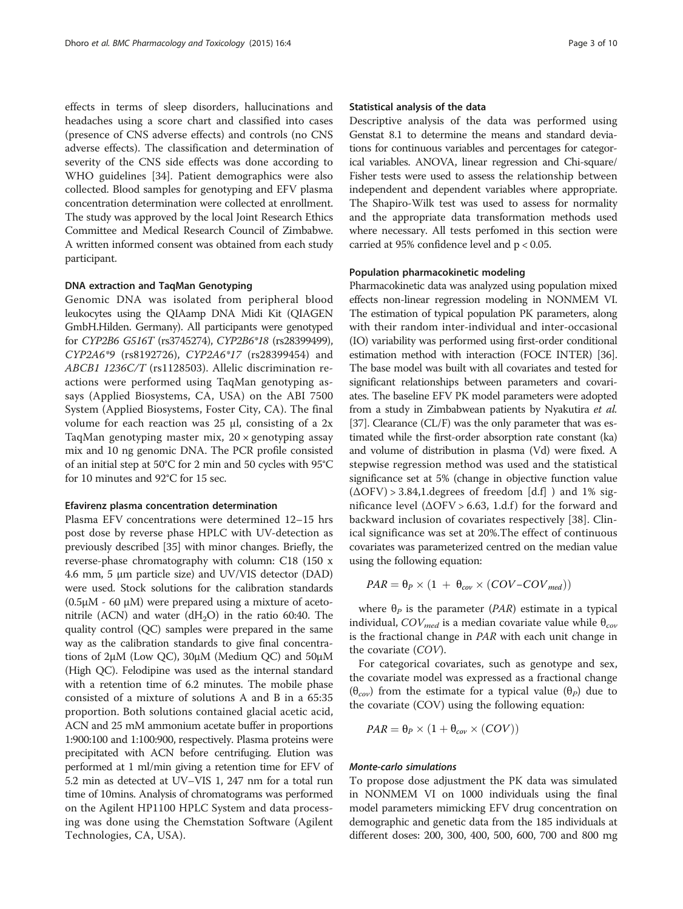effects in terms of sleep disorders, hallucinations and headaches using a score chart and classified into cases (presence of CNS adverse effects) and controls (no CNS adverse effects). The classification and determination of severity of the CNS side effects was done according to WHO guidelines [\[34](#page-8-0)]. Patient demographics were also collected. Blood samples for genotyping and EFV plasma concentration determination were collected at enrollment. The study was approved by the local Joint Research Ethics Committee and Medical Research Council of Zimbabwe. A written informed consent was obtained from each study participant.

#### DNA extraction and TaqMan Genotyping

Genomic DNA was isolated from peripheral blood leukocytes using the QIAamp DNA Midi Kit (QIAGEN GmbH.Hilden. Germany). All participants were genotyped for CYP2B6 G516T (rs3745274), CYP2B6\*18 (rs28399499), CYP2A6\*9 (rs8192726), CYP2A6\*17 (rs28399454) and ABCB1 1236C/T (rs1128503). Allelic discrimination reactions were performed using TaqMan genotyping assays (Applied Biosystems, CA, USA) on the ABI 7500 System (Applied Biosystems, Foster City, CA). The final volume for each reaction was  $25$  μl, consisting of a  $2x$ TaqMan genotyping master mix,  $20 \times$  genotyping assay mix and 10 ng genomic DNA. The PCR profile consisted of an initial step at 50°C for 2 min and 50 cycles with 95°C for 10 minutes and 92°C for 15 sec.

#### Efavirenz plasma concentration determination

Plasma EFV concentrations were determined 12–15 hrs post dose by reverse phase HPLC with UV-detection as previously described [\[35\]](#page-8-0) with minor changes. Briefly, the reverse-phase chromatography with column: C18 (150 x 4.6 mm, 5 μm particle size) and UV/VIS detector (DAD) were used. Stock solutions for the calibration standards (0.5μΜ - 60 μM) were prepared using a mixture of acetonitrile (ACN) and water ( $dH<sub>2</sub>O$ ) in the ratio 60:40. The quality control (QC) samples were prepared in the same way as the calibration standards to give final concentrations of 2μΜ (Low QC), 30μΜ (Medium QC) and 50μΜ (High QC). Felodipine was used as the internal standard with a retention time of 6.2 minutes. The mobile phase consisted of a mixture of solutions A and B in a 65:35 proportion. Both solutions contained glacial acetic acid, ACN and 25 mM ammonium acetate buffer in proportions 1:900:100 and 1:100:900, respectively. Plasma proteins were precipitated with ACN before centrifuging. Elution was performed at 1 ml/min giving a retention time for EFV of 5.2 min as detected at UV–VIS 1, 247 nm for a total run time of 10mins. Analysis of chromatograms was performed on the Agilent HP1100 HPLC System and data processing was done using the Chemstation Software (Agilent Technologies, CA, USA).

#### Statistical analysis of the data

Descriptive analysis of the data was performed using Genstat 8.1 to determine the means and standard deviations for continuous variables and percentages for categorical variables. ANOVA, linear regression and Chi-square/ Fisher tests were used to assess the relationship between independent and dependent variables where appropriate. The Shapiro-Wilk test was used to assess for normality and the appropriate data transformation methods used where necessary. All tests perfomed in this section were carried at 95% confidence level and p < 0.05.

## Population pharmacokinetic modeling

Pharmacokinetic data was analyzed using population mixed effects non-linear regression modeling in NONMEM VI. The estimation of typical population PK parameters, along with their random inter-individual and inter-occasional (IO) variability was performed using first-order conditional estimation method with interaction (FOCE INTER) [\[36](#page-8-0)]. The base model was built with all covariates and tested for significant relationships between parameters and covariates. The baseline EFV PK model parameters were adopted from a study in Zimbabwean patients by Nyakutira et al. [[37](#page-8-0)]. Clearance (CL/F) was the only parameter that was estimated while the first-order absorption rate constant (ka) and volume of distribution in plasma (Vd) were fixed. A stepwise regression method was used and the statistical significance set at 5% (change in objective function value  $(\Delta$ OFV $)$  > 3.84,1. degrees of freedom [d.f] ) and 1% significance level  $(ΔOFV > 6.63, 1.d.f)$  for the forward and backward inclusion of covariates respectively [[38\]](#page-8-0). Clinical significance was set at 20%.The effect of continuous covariates was parameterized centred on the median value using the following equation:

$$
PAR = \theta_P \times (1 + \theta_{cov} \times (COV-COV_{med}))
$$

where  $\theta_p$  is the parameter (PAR) estimate in a typical individual,  $COV_{med}$  is a median covariate value while  $\theta_{cov}$ is the fractional change in PAR with each unit change in the covariate (COV).

For categorical covariates, such as genotype and sex, the covariate model was expressed as a fractional change  $(\theta_{cov})$  from the estimate for a typical value  $(\theta_P)$  due to the covariate (COV) using the following equation:

$$
PAR = \theta_P \times (1 + \theta_{cov} \times (COV))
$$

## Monte-carlo simulations

To propose dose adjustment the PK data was simulated in NONMEM VI on 1000 individuals using the final model parameters mimicking EFV drug concentration on demographic and genetic data from the 185 individuals at different doses: 200, 300, 400, 500, 600, 700 and 800 mg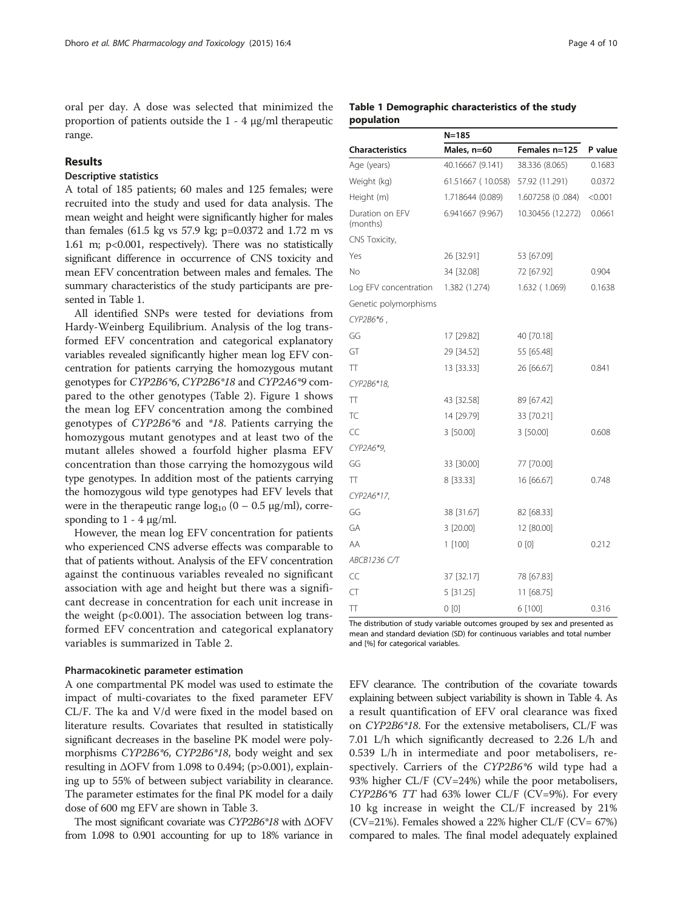oral per day. A dose was selected that minimized the proportion of patients outside the 1 - 4 μg/ml therapeutic range.

# Results

# Descriptive statistics

A total of 185 patients; 60 males and 125 females; were recruited into the study and used for data analysis. The mean weight and height were significantly higher for males than females (61.5 kg vs 57.9 kg; p=0.0372 and 1.72 m vs 1.61 m; p<0.001, respectively). There was no statistically significant difference in occurrence of CNS toxicity and mean EFV concentration between males and females. The summary characteristics of the study participants are presented in Table 1.

All identified SNPs were tested for deviations from Hardy-Weinberg Equilibrium. Analysis of the log transformed EFV concentration and categorical explanatory variables revealed significantly higher mean log EFV concentration for patients carrying the homozygous mutant genotypes for CYP2B6\*6, CYP2B6\*18 and CYP2A6\*9 compared to the other genotypes (Table [2\)](#page-4-0). Figure [1](#page-5-0) shows the mean log EFV concentration among the combined genotypes of CYP2B6\*6 and \*18. Patients carrying the homozygous mutant genotypes and at least two of the mutant alleles showed a fourfold higher plasma EFV concentration than those carrying the homozygous wild type genotypes. In addition most of the patients carrying the homozygous wild type genotypes had EFV levels that were in the therapeutic range  $log_{10} (0 - 0.5 \text{ µg/ml})$ , corresponding to  $1 - 4$   $\mu$ g/ml.

However, the mean log EFV concentration for patients who experienced CNS adverse effects was comparable to that of patients without. Analysis of the EFV concentration against the continuous variables revealed no significant association with age and height but there was a significant decrease in concentration for each unit increase in the weight  $(p<0.001)$ . The association between log transformed EFV concentration and categorical explanatory variables is summarized in Table [2.](#page-4-0)

#### Pharmacokinetic parameter estimation

A one compartmental PK model was used to estimate the impact of multi-covariates to the fixed parameter EFV CL/F. The ka and V/d were fixed in the model based on literature results. Covariates that resulted in statistically significant decreases in the baseline PK model were polymorphisms CYP2B6\*6, CYP2B6\*18, body weight and sex resulting in ΔOFV from 1.098 to 0.494; (p>0.001), explaining up to 55% of between subject variability in clearance. The parameter estimates for the final PK model for a daily dose of 600 mg EFV are shown in Table [3.](#page-5-0)

The most significant covariate was CYP2B6\*18 with ΔOFV from 1.098 to 0.901 accounting for up to 18% variance in

# Table 1 Demographic characteristics of the study population

|                             | N=185             |                   |         |
|-----------------------------|-------------------|-------------------|---------|
| <b>Characteristics</b>      | Males, n=60       | Females n=125     | P value |
| Age (years)                 | 40.16667 (9.141)  | 38.336 (8.065)    | 0.1683  |
| Weight (kg)                 | 61.51667 (10.058) | 57.92 (11.291)    | 0.0372  |
| Height (m)                  | 1.718644 (0.089)  | 1.607258 (0.084)  | < 0.001 |
| Duration on EFV<br>(months) | 6.941667 (9.967)  | 10.30456 (12.272) | 0.0661  |
| CNS Toxicity,               |                   |                   |         |
| Yes                         | 26 [32.91]        | 53 [67.09]        |         |
| No                          | 34 [32.08]        | 72 [67.92]        | 0.904   |
| Log EFV concentration       | 1.382 (1.274)     | 1.632 (1.069)     | 0.1638  |
| Genetic polymorphisms       |                   |                   |         |
| CYP2B6*6,                   |                   |                   |         |
| GG                          | 17 [29.82]        | 40 [70.18]        |         |
| GT                          | 29 [34.52]        | 55 [65.48]        |         |
| π                           | 13 [33.33]        | 26 [66.67]        | 0.841   |
| CYP2B6*18,                  |                   |                   |         |
| π                           | 43 [32.58]        | 89 [67.42]        |         |
| TC                          | 14 [29.79]        | 33 [70.21]        |         |
| CC                          | 3 [50.00]         | 3 [50.00]         | 0.608   |
| CYP2A6*9,                   |                   |                   |         |
| GG                          | 33 [30.00]        | 77 [70.00]        |         |
| π                           | 8 [33.33]         | 16 [66.67]        | 0.748   |
| CYP2A6*17,                  |                   |                   |         |
| GG                          | 38 [31.67]        | 82 [68.33]        |         |
| GА                          | 3 [20.00]         | 12 [80.00]        |         |
| ΑA                          | $1$ [100]         | 0 <sub>[0]</sub>  | 0.212   |
| ABCB1236 C/T                |                   |                   |         |
| CC                          | 37 [32.17]        | 78 [67.83]        |         |
| CT                          | 5 [31.25]         | 11 [68.75]        |         |
| Π                           | 0[0]              | 6 [100]           | 0.316   |

The distribution of study variable outcomes grouped by sex and presented as mean and standard deviation (SD) for continuous variables and total number and [%] for categorical variables.

EFV clearance. The contribution of the covariate towards explaining between subject variability is shown in Table [4](#page-6-0). As a result quantification of EFV oral clearance was fixed on CYP2B6\*18. For the extensive metabolisers, CL/F was 7.01 L/h which significantly decreased to 2.26 L/h and 0.539 L/h in intermediate and poor metabolisers, respectively. Carriers of the CYP2B6\*6 wild type had a 93% higher CL/F (CV=24%) while the poor metabolisers, CYP2B6\*6 TT had 63% lower CL/F (CV=9%). For every 10 kg increase in weight the CL/F increased by 21%  $(CV=21%)$ . Females showed a 22% higher CL/F  $(CV= 67%)$ compared to males. The final model adequately explained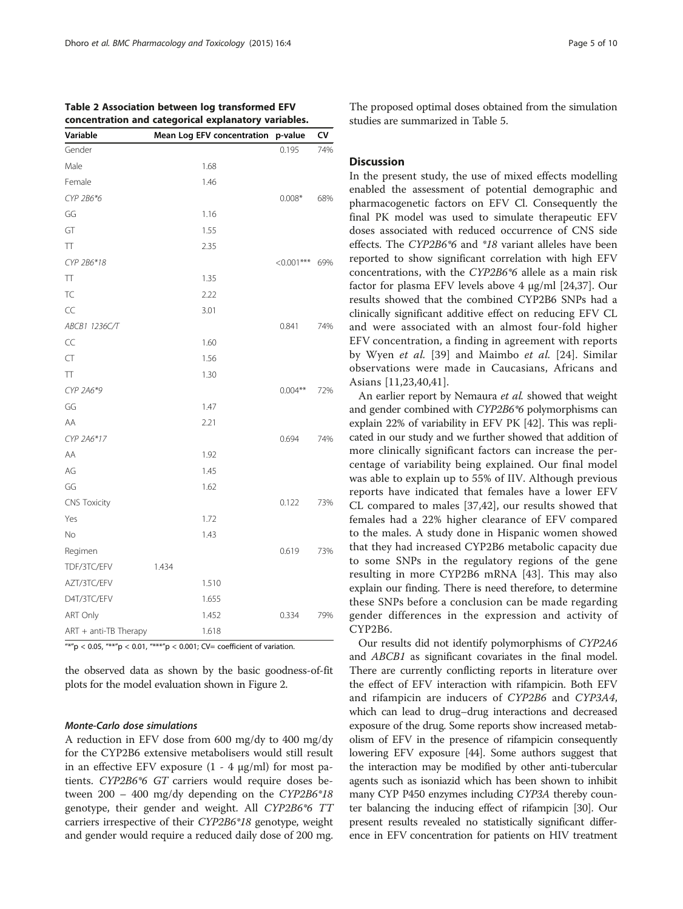| Variable              | Mean Log EFV concentration p-value |              | CV  |
|-----------------------|------------------------------------|--------------|-----|
| Gender                |                                    | 0.195        | 74% |
| Male                  | 1.68                               |              |     |
| Female                | 1.46                               |              |     |
| CYP 2B6*6             |                                    | $0.008*$     | 68% |
| GG                    | 1.16                               |              |     |
| GT                    | 1.55                               |              |     |
| $\top$                | 2.35                               |              |     |
| CYP 2B6*18            |                                    | $<$ 0.001*** | 69% |
| TΤ                    | 1.35                               |              |     |
| TC                    | 2.22                               |              |     |
| CC                    | 3.01                               |              |     |
| ABCB1 1236C/T         |                                    | 0.841        | 74% |
| CC                    | 1.60                               |              |     |
| CT                    | 1.56                               |              |     |
| TΤ                    | 1.30                               |              |     |
| CYP 2A6*9             |                                    | $0.004***$   | 72% |
| GG                    | 1.47                               |              |     |
| AA                    | 2.21                               |              |     |
| CYP 2A6*17            |                                    | 0.694        | 74% |
| AA                    | 1.92                               |              |     |
| AG                    | 1.45                               |              |     |
| GG                    | 1.62                               |              |     |
| <b>CNS Toxicity</b>   |                                    | 0.122        | 73% |
| Yes                   | 1.72                               |              |     |
| No                    | 1.43                               |              |     |
| Regimen               |                                    | 0.619        | 73% |
| TDF/3TC/EFV           | 1.434                              |              |     |
| AZT/3TC/EFV           | 1.510                              |              |     |
| D4T/3TC/EFV           | 1.655                              |              |     |
| ART Only              | 1.452                              | 0.334        | 79% |
| ART + anti-TB Therapy | 1.618                              |              |     |

<span id="page-4-0"></span>

| Table 2 Association between log transformed EFV      |  |  |
|------------------------------------------------------|--|--|
| concentration and categorical explanatory variables. |  |  |

 $\mu_{*}^{*}$  = 0.05,  $\mu_{*}^{*}$  = 0.01,  $\mu_{*}^{*}$  = 0.001; CV= coefficient of variation.

the observed data as shown by the basic goodness-of-fit plots for the model evaluation shown in Figure [2.](#page-6-0)

## Monte-Carlo dose simulations

A reduction in EFV dose from 600 mg/dy to 400 mg/dy for the CYP2B6 extensive metabolisers would still result in an effective EFV exposure  $(1 - 4 \mu g/ml)$  for most patients. CYP2B6\*6 GT carriers would require doses between 200 – 400 mg/dy depending on the CYP2B6\*18 genotype, their gender and weight. All CYP2B6\*6 TT carriers irrespective of their CYP2B6\*18 genotype, weight and gender would require a reduced daily dose of 200 mg. The proposed optimal doses obtained from the simulation studies are summarized in Table [5](#page-7-0).

# **Discussion**

In the present study, the use of mixed effects modelling enabled the assessment of potential demographic and pharmacogenetic factors on EFV Cl. Consequently the final PK model was used to simulate therapeutic EFV doses associated with reduced occurrence of CNS side effects. The CYP2B6\*6 and \*18 variant alleles have been reported to show significant correlation with high EFV concentrations, with the CYP2B6\*6 allele as a main risk factor for plasma EFV levels above 4 μg/ml [\[24,37](#page-8-0)]. Our results showed that the combined CYP2B6 SNPs had a clinically significant additive effect on reducing EFV CL and were associated with an almost four-fold higher EFV concentration, a finding in agreement with reports by Wyen et al. [\[39](#page-8-0)] and Maimbo et al. [\[24\]](#page-8-0). Similar observations were made in Caucasians, Africans and Asians [[11,23](#page-8-0),[40,41](#page-8-0)].

An earlier report by Nemaura et al. showed that weight and gender combined with CYP2B6\*6 polymorphisms can explain 22% of variability in EFV PK [[42\]](#page-8-0). This was replicated in our study and we further showed that addition of more clinically significant factors can increase the percentage of variability being explained. Our final model was able to explain up to 55% of IIV. Although previous reports have indicated that females have a lower EFV CL compared to males [[37,42\]](#page-8-0), our results showed that females had a 22% higher clearance of EFV compared to the males. A study done in Hispanic women showed that they had increased CYP2B6 metabolic capacity due to some SNPs in the regulatory regions of the gene resulting in more CYP2B6 mRNA [[43\]](#page-8-0). This may also explain our finding. There is need therefore, to determine these SNPs before a conclusion can be made regarding gender differences in the expression and activity of CYP2B6.

Our results did not identify polymorphisms of CYP2A6 and ABCB1 as significant covariates in the final model. There are currently conflicting reports in literature over the effect of EFV interaction with rifampicin. Both EFV and rifampicin are inducers of CYP2B6 and CYP3A4, which can lead to drug–drug interactions and decreased exposure of the drug. Some reports show increased metabolism of EFV in the presence of rifampicin consequently lowering EFV exposure [[44](#page-8-0)]. Some authors suggest that the interaction may be modified by other anti-tubercular agents such as isoniazid which has been shown to inhibit many CYP P450 enzymes including CYP3A thereby counter balancing the inducing effect of rifampicin [\[30\]](#page-8-0). Our present results revealed no statistically significant difference in EFV concentration for patients on HIV treatment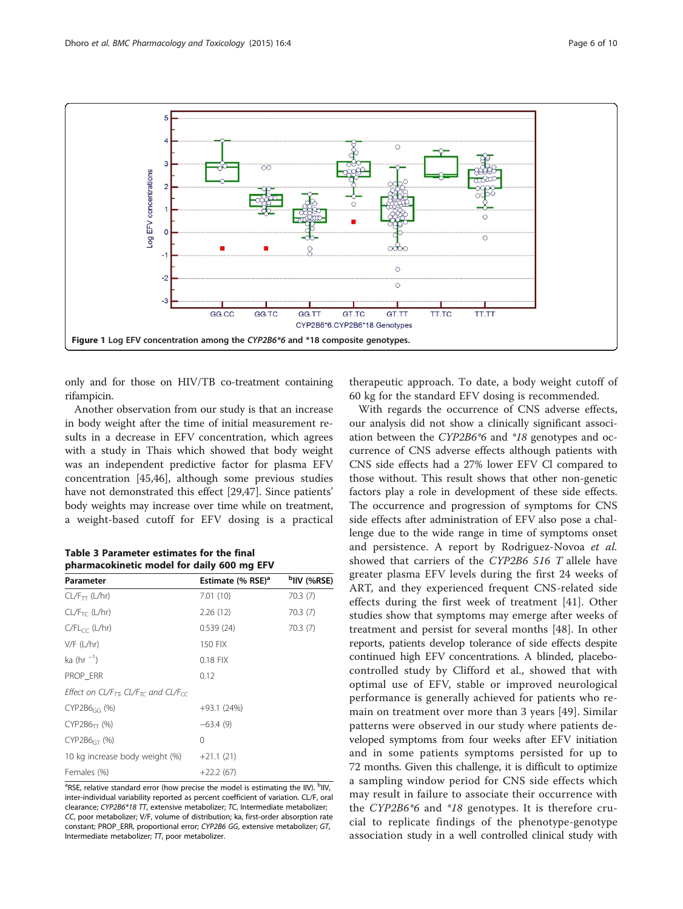<span id="page-5-0"></span>

only and for those on HIV/TB co-treatment containing rifampicin.

Another observation from our study is that an increase in body weight after the time of initial measurement results in a decrease in EFV concentration, which agrees with a study in Thais which showed that body weight was an independent predictive factor for plasma EFV concentration [[45,46\]](#page-8-0), although some previous studies have not demonstrated this effect [\[29,47\]](#page-8-0). Since patients' body weights may increase over time while on treatment, a weight-based cutoff for EFV dosing is a practical

Table 3 Parameter estimates for the final pharmacokinetic model for daily 600 mg EFV

| Parameter                                                                | Estimate (% RSE) <sup>a</sup> | <sup>b</sup> IIV (%RSE) |
|--------------------------------------------------------------------------|-------------------------------|-------------------------|
| $CL/F_{TT}$ (L/hr)                                                       | 7.01(10)                      | 70.3(7)                 |
| CL/F <sub>TC</sub> (L/hr)                                                | 2.26(12)                      | 70.3(7)                 |
| $C/FL_{CC}$ (L/hr)                                                       | 0.539(24)                     | 70.3(7)                 |
| $V/F$ (L/hr)                                                             | 150 FIX                       |                         |
| ka (hr $^{-1}$ )                                                         | $0.18$ FIX                    |                         |
| PROP ERR                                                                 | 0.12                          |                         |
| Effect on CL/F <sub>TI</sub> , CL/F <sub>TC</sub> and CL/F <sub>CC</sub> |                               |                         |
| $CYP2B6_{GG}$ (%)                                                        | $+93.1(24%)$                  |                         |
| $CYP2B6_{TT}$ (%)                                                        | $-63.4(9)$                    |                         |
| $CYP2B6GT$ (%)                                                           | 0                             |                         |
| 10 kg increase body weight (%)                                           | $+21.1(21)$                   |                         |
| Females (%)                                                              | $+22.2(67)$                   |                         |

<sup>a</sup>RSE, relative standard error (how precise the model is estimating the IIV). <sup>b</sup>IIV, inter-individual variability reported as percent coefficient of variation. CL/F, oral clearance; CYP2B6\*18 TT, extensive metabolizer; TC, Intermediate metabolizer; CC, poor metabolizer; V/F, volume of distribution; ka, first-order absorption rate constant; PROP\_ERR, proportional error; CYP2B6 GG, extensive metabolizer; GT, Intermediate metabolizer;  $\pi$ , poor metabolizer.

therapeutic approach. To date, a body weight cutoff of 60 kg for the standard EFV dosing is recommended.

With regards the occurrence of CNS adverse effects, our analysis did not show a clinically significant association between the CYP2B6\*6 and \*18 genotypes and occurrence of CNS adverse effects although patients with CNS side effects had a 27% lower EFV Cl compared to those without. This result shows that other non-genetic factors play a role in development of these side effects. The occurrence and progression of symptoms for CNS side effects after administration of EFV also pose a challenge due to the wide range in time of symptoms onset and persistence. A report by Rodriguez-Novoa et al. showed that carriers of the CYP2B6 516 T allele have greater plasma EFV levels during the first 24 weeks of ART, and they experienced frequent CNS-related side effects during the first week of treatment [[41\]](#page-8-0). Other studies show that symptoms may emerge after weeks of treatment and persist for several months [[48\]](#page-8-0). In other reports, patients develop tolerance of side effects despite continued high EFV concentrations. A blinded, placebocontrolled study by Clifford et al., showed that with optimal use of EFV, stable or improved neurological performance is generally achieved for patients who remain on treatment over more than 3 years [[49](#page-8-0)]. Similar patterns were observed in our study where patients developed symptoms from four weeks after EFV initiation and in some patients symptoms persisted for up to 72 months. Given this challenge, it is difficult to optimize a sampling window period for CNS side effects which may result in failure to associate their occurrence with the CYP2B6\*6 and \*18 genotypes. It is therefore crucial to replicate findings of the phenotype-genotype association study in a well controlled clinical study with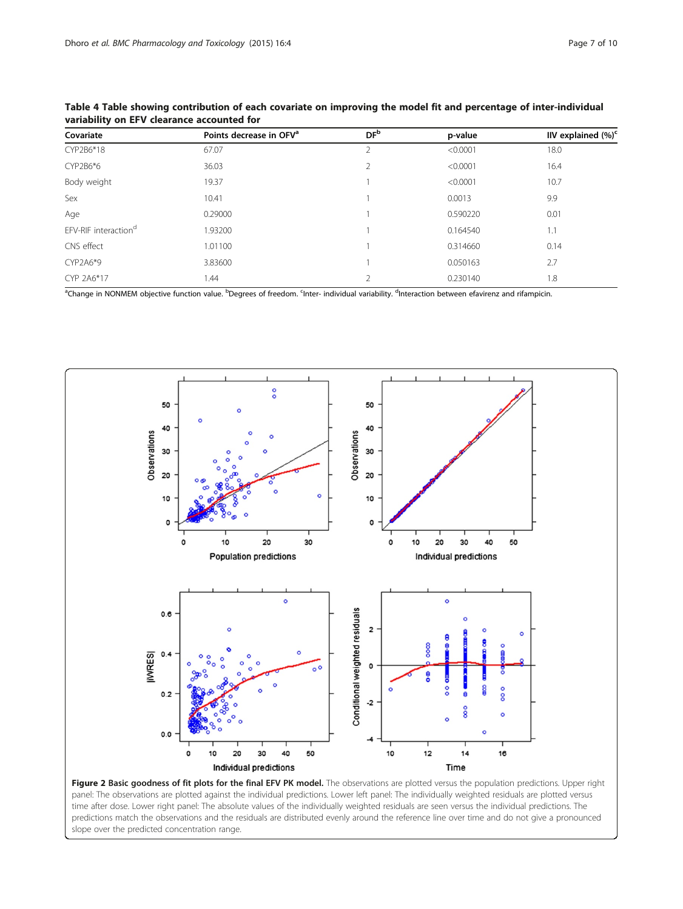| Page 7 of 10 |  |  |
|--------------|--|--|
|              |  |  |

| Covariate                        | Points decrease in OFV <sup>a</sup> | DF <sup>b</sup> | p-value  | IIV explained $(\%)^c$ |
|----------------------------------|-------------------------------------|-----------------|----------|------------------------|
| CYP2B6*18                        | 67.07                               |                 | < 0.0001 | 18.0                   |
| CYP2B6*6                         | 36.03                               |                 | < 0.0001 | 16.4                   |
| Body weight                      | 19.37                               |                 | < 0.0001 | 10.7                   |
| Sex                              | 10.41                               |                 | 0.0013   | 9.9                    |
| Age                              | 0.29000                             |                 | 0.590220 | 0.01                   |
| EFV-RIF interaction <sup>d</sup> | 1.93200                             |                 | 0.164540 | 1.1                    |
| CNS effect                       | 1.01100                             |                 | 0.314660 | 0.14                   |
| CYP2A6*9                         | 3.83600                             |                 | 0.050163 | 2.7                    |
| CYP 2A6*17                       | 1.44                                |                 | 0.230140 | 1.8                    |

<span id="page-6-0"></span>Table 4 Table showing contribution of each covariate on improving the model fit and percentage of inter-individual variability on EFV clearance accounted for

<sup>a</sup>Change in NONMEM objective function value. <sup>b</sup>Degrees of freedom. <sup>c</sup>Inter- individual variability. <sup>d</sup>Interaction between efavirenz and rifampicin.



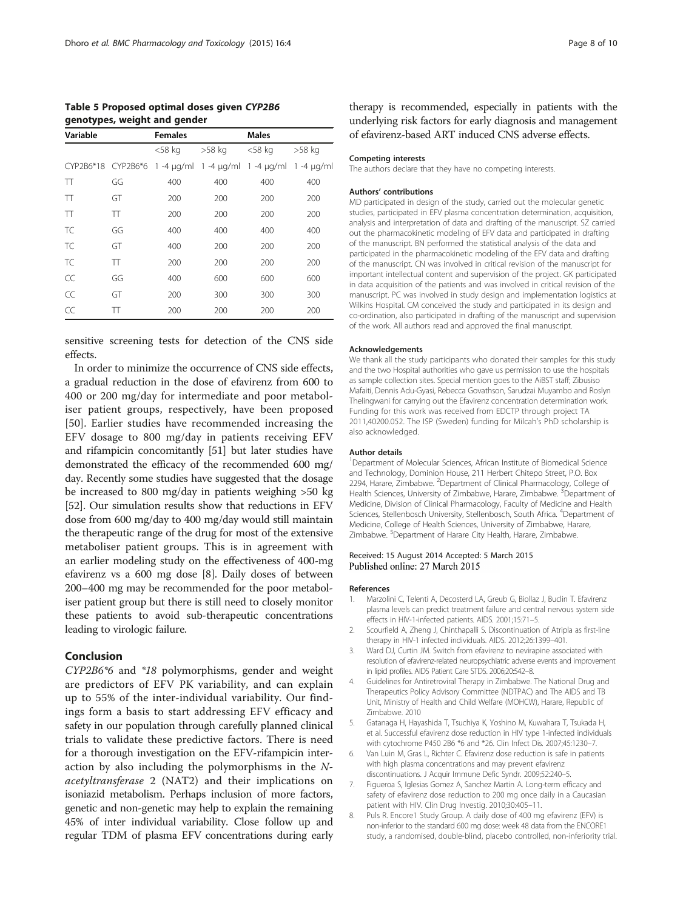<span id="page-7-0"></span>Table 5 Proposed optimal doses given CYP2B6 genotypes, weight and gender

| Variable |    | <b>Females</b>                           |        | <b>Males</b> |                  |
|----------|----|------------------------------------------|--------|--------------|------------------|
|          |    | $<$ 58 kg                                | >58 kg | $<$ 58 kg    | >58 kg           |
|          |    | CYP2B6*18 CYP2B6*6 1 -4 µg/ml 1 -4 µg/ml |        | 1 -4 µg/ml   | $1 - 4 \mu q/ml$ |
| π        | GG | 400                                      | 400    | 400          | 400              |
| $\top$   | GT | 200                                      | 200    | 200          | 200              |
| $\top$   | TT | 200                                      | 200    | 200          | 200              |
| TC       | GG | 400                                      | 400    | 400          | 400              |
| TC.      | GT | 400                                      | 200    | 200          | 200              |
| TC       | TT | 200                                      | 200    | 200          | 200              |
| CC       | GG | 400                                      | 600    | 600          | 600              |
| CC       | GT | 200                                      | 300    | 300          | 300              |
| CC       | π  | 200                                      | 200    | 200          | 200              |

sensitive screening tests for detection of the CNS side effects.

In order to minimize the occurrence of CNS side effects, a gradual reduction in the dose of efavirenz from 600 to 400 or 200 mg/day for intermediate and poor metaboliser patient groups, respectively, have been proposed [[50\]](#page-8-0). Earlier studies have recommended increasing the EFV dosage to 800 mg/day in patients receiving EFV and rifampicin concomitantly [[51](#page-9-0)] but later studies have demonstrated the efficacy of the recommended 600 mg/ day. Recently some studies have suggested that the dosage be increased to 800 mg/day in patients weighing >50 kg [[52](#page-9-0)]. Our simulation results show that reductions in EFV dose from 600 mg/day to 400 mg/day would still maintain the therapeutic range of the drug for most of the extensive metaboliser patient groups. This is in agreement with an earlier modeling study on the effectiveness of 400-mg efavirenz vs a 600 mg dose [8]. Daily doses of between 200–400 mg may be recommended for the poor metaboliser patient group but there is still need to closely monitor these patients to avoid sub-therapeutic concentrations leading to virologic failure.

# Conclusion

CYP2B6\*6 and \*18 polymorphisms, gender and weight are predictors of EFV PK variability, and can explain up to 55% of the inter-individual variability. Our findings form a basis to start addressing EFV efficacy and safety in our population through carefully planned clinical trials to validate these predictive factors. There is need for a thorough investigation on the EFV-rifampicin interaction by also including the polymorphisms in the Nacetyltransferase 2 (NAT2) and their implications on isoniazid metabolism. Perhaps inclusion of more factors, genetic and non-genetic may help to explain the remaining 45% of inter individual variability. Close follow up and regular TDM of plasma EFV concentrations during early

therapy is recommended, especially in patients with the underlying risk factors for early diagnosis and management of efavirenz-based ART induced CNS adverse effects.

#### Competing interests

The authors declare that they have no competing interests.

#### Authors' contributions

MD participated in design of the study, carried out the molecular genetic studies, participated in EFV plasma concentration determination, acquisition, analysis and interpretation of data and drafting of the manuscript. SZ carried out the pharmacokinetic modeling of EFV data and participated in drafting of the manuscript. BN performed the statistical analysis of the data and participated in the pharmacokinetic modeling of the EFV data and drafting of the manuscript. CN was involved in critical revision of the manuscript for important intellectual content and supervision of the project. GK participated in data acquisition of the patients and was involved in critical revision of the manuscript. PC was involved in study design and implementation logistics at Wilkins Hospital. CM conceived the study and participated in its design and co-ordination, also participated in drafting of the manuscript and supervision of the work. All authors read and approved the final manuscript.

#### Acknowledgements

We thank all the study participants who donated their samples for this study and the two Hospital authorities who gave us permission to use the hospitals as sample collection sites. Special mention goes to the AiBST staff; Zibusiso Mafaiti, Dennis Adu-Gyasi, Rebecca Govathson, Sarudzai Muyambo and Roslyn Thelingwani for carrying out the Efavirenz concentration determination work. Funding for this work was received from EDCTP through project TA 2011,40200.052. The ISP (Sweden) funding for Milcah's PhD scholarship is also acknowledged.

#### Author details

<sup>1</sup>Department of Molecular Sciences, African Institute of Biomedical Science and Technology, Dominion House, 211 Herbert Chitepo Street, P.O. Box 2294, Harare, Zimbabwe. <sup>2</sup>Department of Clinical Pharmacology, College of Health Sciences, University of Zimbabwe, Harare, Zimbabwe. <sup>3</sup>Department of Medicine, Division of Clinical Pharmacology, Faculty of Medicine and Health Sciences, Stellenbosch University, Stellenbosch, South Africa. <sup>4</sup>Department of Medicine, College of Health Sciences, University of Zimbabwe, Harare, Zimbabwe. <sup>5</sup>Department of Harare City Health, Harare, Zimbabwe.

#### Received: 15 August 2014 Accepted: 5 March 2015 Published online: 27 March 2015

#### References

- 1. Marzolini C, Telenti A, Decosterd LA, Greub G, Biollaz J, Buclin T. Efavirenz plasma levels can predict treatment failure and central nervous system side effects in HIV-1-infected patients. AIDS. 2001;15:71–5.
- 2. Scourfield A, Zheng J, Chinthapalli S. Discontinuation of Atripla as first-line therapy in HIV-1 infected individuals. AIDS. 2012;26:1399–401.
- 3. Ward DJ, Curtin JM. Switch from efavirenz to nevirapine associated with resolution of efavirenz-related neuropsychiatric adverse events and improvement in lipid profiles. AIDS Patient Care STDS. 2006;20:542–8.
- 4. Guidelines for Antiretroviral Therapy in Zimbabwe. The National Drug and Therapeutics Policy Advisory Committee (NDTPAC) and The AIDS and TB Unit, Ministry of Health and Child Welfare (MOHCW), Harare, Republic of Zimbabwe. 2010
- 5. Gatanaga H, Hayashida T, Tsuchiya K, Yoshino M, Kuwahara T, Tsukada H, et al. Successful efavirenz dose reduction in HIV type 1-infected individuals with cytochrome P450 2B6 \*6 and \*26. Clin Infect Dis. 2007;45:1230–7.
- Van Luin M, Gras L, Richter C. Efavirenz dose reduction is safe in patients with high plasma concentrations and may prevent efavirenz discontinuations. J Acquir Immune Defic Syndr. 2009;52:240–5.
- 7. Figueroa S, Iglesias Gomez A, Sanchez Martin A. Long-term efficacy and safety of efavirenz dose reduction to 200 mg once daily in a Caucasian patient with HIV. Clin Drug Investig. 2010;30:405–11.
- 8. Puls R. Encore1 Study Group. A daily dose of 400 mg efavirenz (EFV) is non-inferior to the standard 600 mg dose: week 48 data from the ENCORE1 study, a randomised, double-blind, placebo controlled, non-inferiority trial.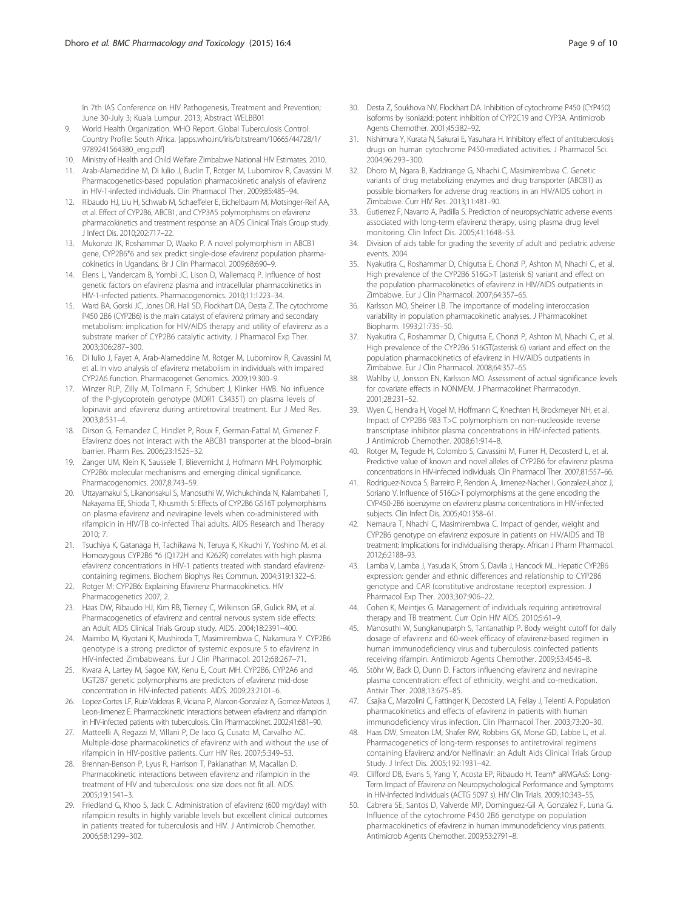<span id="page-8-0"></span>In 7th IAS Conference on HIV Pathogenesis, Treatment and Prevention; June 30-July 3; Kuala Lumpur. 2013; Abstract WELBB01

- 9. World Health Organization. WHO Report. Global Tuberculosis Control: Country Profile: South Africa. [\[apps.who.int/iris/bitstream/10665/44728/1/](http://apps.who.int/iris/bitstream/10665/44728/1/9789241564380_eng.pdf) [9789241564380\\_eng.pdf](http://apps.who.int/iris/bitstream/10665/44728/1/9789241564380_eng.pdf)]
- 10. Ministry of Health and Child Welfare Zimbabwe National HIV Estimates. 2010.
- 11. Arab-Alameddine M, Di Iulio J, Buclin T, Rotger M, Lubomirov R, Cavassini M. Pharmacogenetics-based population pharmacokinetic analysis of efavirenz in HIV-1-infected individuals. Clin Pharmacol Ther. 2009;85:485–94.
- 12. Ribaudo HJ, Liu H, Schwab M, Schaeffeler E, Eichelbaum M, Motsinger-Reif AA, et al. Effect of CYP2B6, ABCB1, and CYP3A5 polymorphisms on efavirenz pharmacokinetics and treatment response: an AIDS Clinical Trials Group study. J Infect Dis. 2010;202:717–22.
- 13. Mukonzo JK, Roshammar D, Waako P. A novel polymorphism in ABCB1 gene, CYP2B6\*6 and sex predict single-dose efavirenz population pharmacokinetics in Ugandans. Br J Clin Pharmacol. 2009;68:690–9.
- 14. Elens L, Vandercam B, Yombi JC, Lison D, Wallemacq P. Influence of host genetic factors on efavirenz plasma and intracellular pharmacokinetics in HIV-1-infected patients. Pharmacogenomics. 2010;11:1223–34.
- 15. Ward BA, Gorski JC, Jones DR, Hall SD, Flockhart DA, Desta Z. The cytochrome P450 2B6 (CYP2B6) is the main catalyst of efavirenz primary and secondary metabolism: implication for HIV/AIDS therapy and utility of efavirenz as a substrate marker of CYP2B6 catalytic activity. J Pharmacol Exp Ther. 2003;306:287–300.
- 16. Di Iulio J, Fayet A, Arab-Alameddine M, Rotger M, Lubomirov R, Cavassini M, et al. In vivo analysis of efavirenz metabolism in individuals with impaired CYP2A6 function. Pharmacogenet Genomics. 2009;19:300–9.
- 17. Winzer RLP, Zilly M, Tollmann F, Schubert J, Klinker HWB. No influence of the P-glycoprotein genotype (MDR1 C3435T) on plasma levels of lopinavir and efavirenz during antiretroviral treatment. Eur J Med Res. 2003;8:531–4.
- 18. Dirson G, Fernandez C, Hindlet P, Roux F, German-Fattal M, Gimenez F. Efavirenz does not interact with the ABCB1 transporter at the blood–brain barrier. Pharm Res. 2006;23:1525–32.
- 19. Zanger UM, Klein K, Saussele T, Blievernicht J, Hofmann MH. Polymorphic CYP2B6: molecular mechanisms and emerging clinical significance. Pharmacogenomics. 2007;8:743–59.
- 20. Uttayamakul S, Likanonsakul S, Manosuthi W, Wichukchinda N, Kalambaheti T, Nakayama EE, Shioda T, Khusmith S: Effects of CYP2B6 G516T polymorphisms on plasma efavirenz and nevirapine levels when co-administered with rifampicin in HIV/TB co-infected Thai adults. AIDS Research and Therapy  $2010·7$
- 21. Tsuchiya K, Gatanaga H, Tachikawa N, Teruya K, Kikuchi Y, Yoshino M, et al. Homozygous CYP2B6 \*6 (Q172H and K262R) correlates with high plasma efavirenz concentrations in HIV-1 patients treated with standard efavirenzcontaining regimens. Biochem Biophys Res Commun. 2004;319:1322–6.
- 22. Rotger M: CYP2B6: Explaining Efavirenz Pharmacokinetics. HIV Pharmacogenetics 2007; 2.
- 23. Haas DW, Ribaudo HJ, Kim RB, Tierney C, Wilkinson GR, Gulick RM, et al. Pharmacogenetics of efavirenz and central nervous system side effects: an Adult AIDS Clinical Trials Group study. AIDS. 2004;18:2391–400.
- 24. Maimbo M, Kiyotani K, Mushiroda T, Masimirembwa C, Nakamura Y. CYP2B6 genotype is a strong predictor of systemic exposure 5 to efavirenz in HIV-infected Zimbabweans. Eur J Clin Pharmacol. 2012;68:267–71.
- 25. Kwara A, Lartey M, Sagoe KW, Kenu E, Court MH. CYP2B6, CYP2A6 and UGT2B7 genetic polymorphisms are predictors of efavirenz mid-dose concentration in HIV-infected patients. AIDS. 2009;23:2101–6.
- 26. Lopez-Cortes LF, Ruiz-Valderas R, Viciana P, Alarcon-Gonzalez A, Gomez-Mateos J, Leon-Jimenez E. Pharmacokinetic interactions between efavirenz and rifampicin in HIV-infected patients with tuberculosis. Clin Pharmacokinet. 2002;41:681-90.
- 27. Matteelli A, Regazzi M, Villani P, De Iaco G, Cusato M, Carvalho AC. Multiple-dose pharmacokinetics of efavirenz with and without the use of rifampicin in HIV-positive patients. Curr HIV Res. 2007;5:349–53.
- 28. Brennan-Benson P, Lyus R, Harrison T, Pakianathan M, Macallan D. Pharmacokinetic interactions between efavirenz and rifampicin in the treatment of HIV and tuberculosis: one size does not fit all. AIDS. 2005;19:1541–3.
- 29. Friedland G, Khoo S, Jack C. Administration of efavirenz (600 mg/day) with rifampicin results in highly variable levels but excellent clinical outcomes in patients treated for tuberculosis and HIV. J Antimicrob Chemother. 2006;58:1299–302.
- 30. Desta Z, Soukhova NV, Flockhart DA. Inhibition of cytochrome P450 (CYP450) isoforms by isoniazid: potent inhibition of CYP2C19 and CYP3A. Antimicrob Agents Chemother. 2001;45:382–92.
- 31. Nishimura Y, Kurata N, Sakurai E, Yasuhara H. Inhibitory effect of antituberculosis drugs on human cytochrome P450-mediated activities. J Pharmacol Sci. 2004;96:293–300.
- 32. Dhoro M, Ngara B, Kadzirange G, Nhachi C, Masimirembwa C. Genetic variants of drug metabolizing enzymes and drug transporter (ABCB1) as possible biomarkers for adverse drug reactions in an HIV/AIDS cohort in Zimbabwe. Curr HIV Res. 2013;11:481–90.
- 33. Gutierrez F, Navarro A, Padilla S. Prediction of neuropsychiatric adverse events associated with long-term efavirenz therapy, using plasma drug level monitoring. Clin Infect Dis. 2005;41:1648–53.
- 34. Division of aids table for grading the severity of adult and pediatric adverse events. 2004.
- 35. Nyakutira C, Roshammar D, Chigutsa E, Chonzi P, Ashton M, Nhachi C, et al. High prevalence of the CYP2B6 516G>T (asterisk 6) variant and effect on the population pharmacokinetics of efavirenz in HIV/AIDS outpatients in Zimbabwe. Eur J Clin Pharmacol. 2007;64:357–65.
- 36. Karlsson MO, Sheiner LB. The importance of modeling interoccasion variability in population pharmacokinetic analyses. J Pharmacokinet Biopharm. 1993;21:735–50.
- 37. Nyakutira C, Roshammar D, Chigutsa E, Chonzi P, Ashton M, Nhachi C, et al. High prevalence of the CYP2B6 516GT(asterisk 6) variant and effect on the population pharmacokinetics of efavirenz in HIV/AIDS outpatients in Zimbabwe. Eur J Clin Pharmacol. 2008;64:357–65.
- 38. Wahlby U, Jonsson EN, Karlsson MO. Assessment of actual significance levels for covariate effects in NONMEM. J Pharmacokinet Pharmacodyn. 2001;28:231–52.
- 39. Wyen C, Hendra H, Vogel M, Hoffmann C, Knechten H, Brockmeyer NH, et al. Impact of CYP2B6 983 T>C polymorphism on non-nucleoside reverse transcriptase inhibitor plasma concentrations in HIV-infected patients. J Antimicrob Chemother. 2008;61:914–8.
- 40. Rotger M, Tegude H, Colombo S, Cavassini M, Furrer H, Decosterd L, et al. Predictive value of known and novel alleles of CYP2B6 for efavirenz plasma concentrations in HIV-infected individuals. Clin Pharmacol Ther. 2007;81:557–66.
- 41. Rodriguez-Novoa S, Barreiro P, Rendon A, Jimenez-Nacher I, Gonzalez-Lahoz J, Soriano V. Influence of 516G>T polymorphisms at the gene encoding the CYP450-2B6 isoenzyme on efavirenz plasma concentrations in HIV-infected subjects. Clin Infect Dis. 2005;40:1358–61.
- 42. Nemaura T, Nhachi C, Masimirembwa C. Impact of gender, weight and CYP2B6 genotype on efavirenz exposure in patients on HIV/AIDS and TB treatment: Implications for individualising therapy. African J Pharm Pharmacol. 2012;6:2188–93.
- 43. Lamba V, Lamba J, Yasuda K, Strom S, Davila J, Hancock ML. Hepatic CYP2B6 expression: gender and ethnic differences and relationship to CYP2B6 genotype and CAR (constitutive androstane receptor) expression. J Pharmacol Exp Ther. 2003;307:906–22.
- 44. Cohen K, Meintjes G. Management of individuals requiring antiretroviral therapy and TB treatment. Curr Opin HIV AIDS. 2010;5:61–9.
- 45. Manosuthi W, Sungkanuparph S, Tantanathip P. Body weight cutoff for daily dosage of efavirenz and 60-week efficacy of efavirenz-based regimen in human immunodeficiency virus and tuberculosis coinfected patients receiving rifampin. Antimicrob Agents Chemother. 2009;53:4545–8.
- 46. Stöhr W, Back D, Dunn D. Factors influencing efavirenz and nevirapine plasma concentration: effect of ethnicity, weight and co-medication. Antivir Ther. 2008;13:675–85.
- 47. Csajka C, Marzolini C, Fattinger K, Decosterd LA, Fellay J, Telenti A. Population pharmacokinetics and effects of efavirenz in patients with human immunodeficiency virus infection. Clin Pharmacol Ther. 2003;73:20–30.
- 48. Haas DW, Smeaton LM, Shafer RW, Robbins GK, Morse GD, Labbe L, et al. Pharmacogenetics of long-term responses to antiretroviral regimens containing Efavirenz and/or Nelfinavir: an Adult Aids Clinical Trials Group Study. J Infect Dis. 2005;192:1931–42.
- 49. Clifford DB, Evans S, Yang Y, Acosta EP, Ribaudo H. Team\* aRMGAsS: Long-Term Impact of Efavirenz on Neuropsychological Performance and Symptoms in HIV-Infected Individuals (ACTG 5097 s). HIV Clin Trials. 2009;10:343–55.
- 50. Cabrera SE, Santos D, Valverde MP, Dominguez-Gil A, Gonzalez F, Luna G. Influence of the cytochrome P450 2B6 genotype on population pharmacokinetics of efavirenz in human immunodeficiency virus patients. Antimicrob Agents Chemother. 2009;53:2791–8.